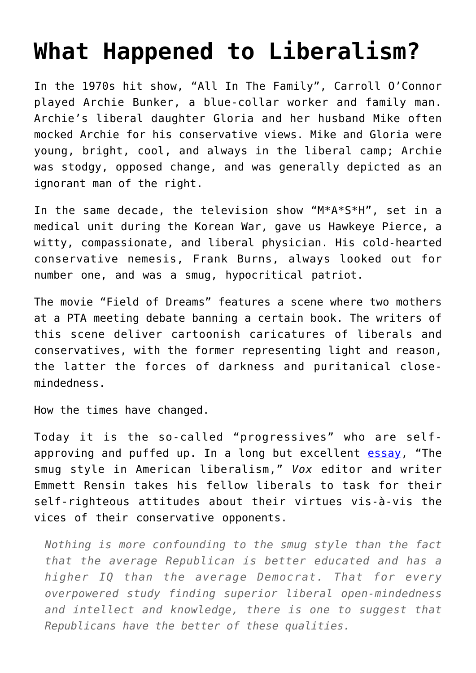## **[What Happened to Liberalism?](https://intellectualtakeout.org/2020/08/what-happened-to-liberalism/)**

In the 1970s hit show, "All In The Family", Carroll O'Connor played Archie Bunker, a blue-collar worker and family man. Archie's liberal daughter Gloria and her husband Mike often mocked Archie for his conservative views. Mike and Gloria were young, bright, cool, and always in the liberal camp; Archie was stodgy, opposed change, and was generally depicted as an ignorant man of the right.

In the same decade, the television show "M\*A\*S\*H", set in a medical unit during the Korean War, gave us Hawkeye Pierce, a witty, compassionate, and liberal physician. His cold-hearted conservative nemesis, Frank Burns, always looked out for number one, and was a smug, hypocritical patriot.

The movie "Field of Dreams" features a scene where two mothers at a PTA meeting debate banning a certain book. The writers of this scene deliver cartoonish caricatures of liberals and conservatives, with the former representing light and reason, the latter the forces of darkness and puritanical closemindedness.

How the times have changed.

Today it is the so-called "progressives" who are selfapproving and puffed up. In a long but excellent [essay,](https://www.vox.com/2016/4/21/11451378/smug-american-liberalism) "The smug style in American liberalism," *Vox* editor and writer Emmett Rensin takes his fellow liberals to task for their self-righteous attitudes about their virtues vis-à-vis the vices of their conservative opponents.

*Nothing is more confounding to the smug style than the fact that the average Republican is better educated and has a higher IQ than the average Democrat. That for every overpowered study finding superior liberal open-mindedness and intellect and knowledge, there is one to suggest that Republicans have the better of these qualities.*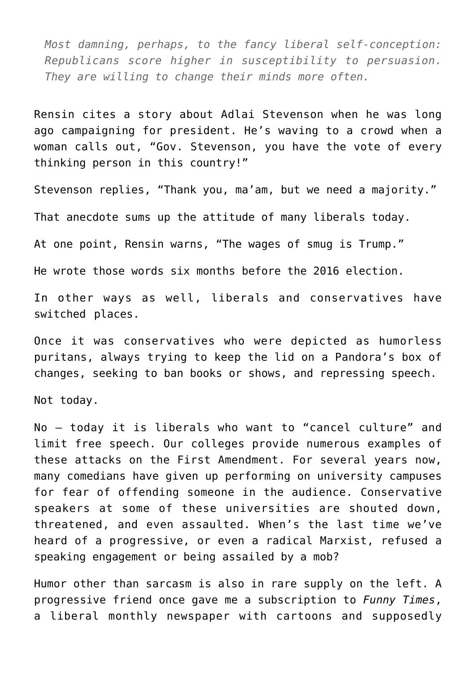*Most damning, perhaps, to the fancy liberal self-conception: Republicans score higher in susceptibility to persuasion. They are willing to change their minds more often.*

Rensin cites a story about Adlai Stevenson when he was long ago campaigning for president. He's waving to a crowd when a woman calls out, "Gov. Stevenson, you have the vote of every thinking person in this country!"

Stevenson replies, "Thank you, ma'am, but we need a majority."

That anecdote sums up the attitude of many liberals today.

At one point, Rensin warns, "The wages of smug is Trump."

He wrote those words six months before the 2016 election.

In other ways as well, liberals and conservatives have switched places.

Once it was conservatives who were depicted as humorless puritans, always trying to keep the lid on a Pandora's box of changes, seeking to ban books or shows, and repressing speech.

Not today.

No – today it is liberals who want to "cancel culture" and limit free speech. Our colleges provide numerous examples of these attacks on the First Amendment. For several years now, many comedians have given up performing on university campuses for fear of offending someone in the audience. Conservative speakers at some of these universities are shouted down, threatened, and even assaulted. When's the last time we've heard of a progressive, or even a radical Marxist, refused a speaking engagement or being assailed by a mob?

Humor other than sarcasm is also in rare supply on the left. A progressive friend once gave me a subscription to *Funny Times*, a liberal monthly newspaper with cartoons and supposedly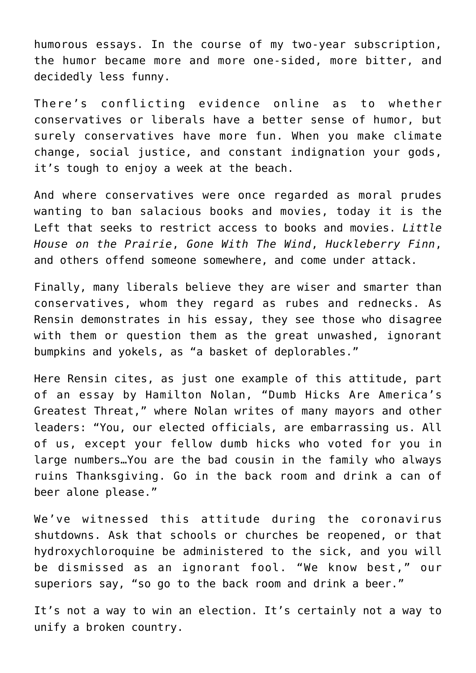humorous essays. In the course of my two-year subscription, the humor became more and more one-sided, more bitter, and decidedly less funny.

There's conflicting evidence online as to whether conservatives or liberals have a better sense of humor, but surely conservatives have more fun. When you make climate change, social justice, and constant indignation your gods, it's tough to enjoy a week at the beach.

And where conservatives were once regarded as moral prudes wanting to ban salacious books and movies, today it is the Left that seeks to restrict access to books and movies. *Little House on the Prairie*, *Gone With The Wind*, *Huckleberry Finn*, and others offend someone somewhere, and come under attack.

Finally, many liberals believe they are wiser and smarter than conservatives, whom they regard as rubes and rednecks. As Rensin demonstrates in his essay, they see those who disagree with them or question them as the great unwashed, ignorant bumpkins and yokels, as "a basket of deplorables."

Here Rensin cites, as just one example of this attitude, part of an essay by Hamilton Nolan, "Dumb Hicks Are America's Greatest Threat," where Nolan writes of many mayors and other leaders: "You, our elected officials, are embarrassing us. All of us, except your fellow dumb hicks who voted for you in large numbers…You are the bad cousin in the family who always ruins Thanksgiving. Go in the back room and drink a can of beer alone please."

We've witnessed this attitude during the coronavirus shutdowns. Ask that schools or churches be reopened, or that hydroxychloroquine be administered to the sick, and you will be dismissed as an ignorant fool. "We know best," our superiors say, "so go to the back room and drink a beer."

It's not a way to win an election. It's certainly not a way to unify a broken country.